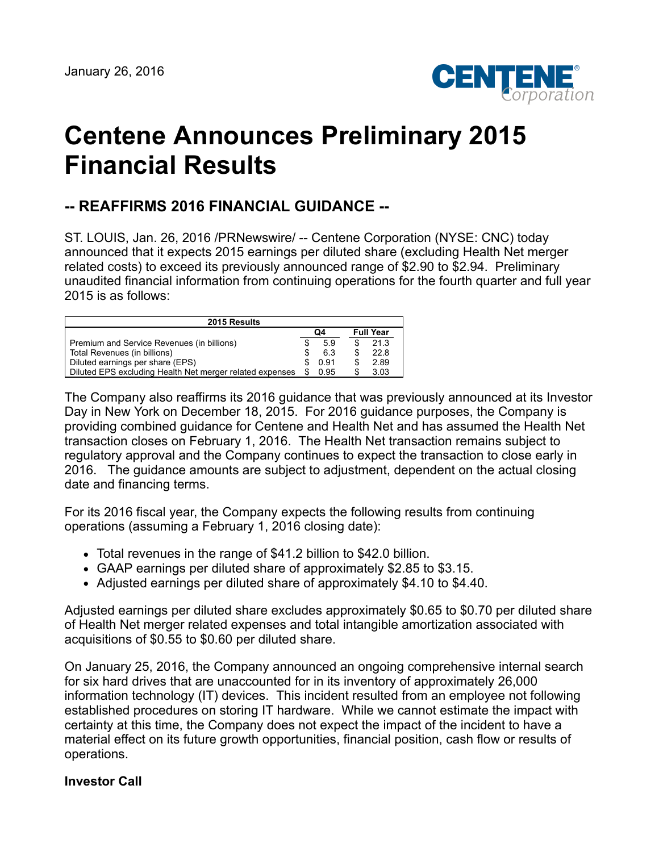

# **Centene Announces Preliminary 2015 Financial Results**

## **-- REAFFIRMS 2016 FINANCIAL GUIDANCE --**

ST. LOUIS, Jan. 26, 2016 /PRNewswire/ -- Centene Corporation (NYSE: CNC) today announced that it expects 2015 earnings per diluted share (excluding Health Net merger related costs) to exceed its previously announced range of \$2.90 to \$2.94. Preliminary unaudited financial information from continuing operations for the fourth quarter and full year 2015 is as follows:

| 2015 Results                                             |    |      |                  |      |
|----------------------------------------------------------|----|------|------------------|------|
|                                                          | Q4 |      | <b>Full Year</b> |      |
| Premium and Service Revenues (in billions)               |    | 5.9  |                  | 21.3 |
| Total Revenues (in billions)                             |    | 6.3  |                  | 22.8 |
| Diluted earnings per share (EPS)                         |    | 0.91 |                  | 2.89 |
| Diluted EPS excluding Health Net merger related expenses |    | 0.95 |                  | 3.03 |

The Company also reaffirms its 2016 guidance that was previously announced at its Investor Day in New York on December 18, 2015. For 2016 guidance purposes, the Company is providing combined guidance for Centene and Health Net and has assumed the Health Net transaction closes on February 1, 2016. The Health Net transaction remains subject to regulatory approval and the Company continues to expect the transaction to close early in 2016. The guidance amounts are subject to adjustment, dependent on the actual closing date and financing terms.

For its 2016 fiscal year, the Company expects the following results from continuing operations (assuming a February 1, 2016 closing date):

- Total revenues in the range of \$41.2 billion to \$42.0 billion.
- GAAP earnings per diluted share of approximately \$2.85 to \$3.15.
- Adjusted earnings per diluted share of approximately \$4.10 to \$4.40.

Adjusted earnings per diluted share excludes approximately \$0.65 to \$0.70 per diluted share of Health Net merger related expenses and total intangible amortization associated with acquisitions of \$0.55 to \$0.60 per diluted share.

On January 25, 2016, the Company announced an ongoing comprehensive internal search for six hard drives that are unaccounted for in its inventory of approximately 26,000 information technology (IT) devices. This incident resulted from an employee not following established procedures on storing IT hardware. While we cannot estimate the impact with certainty at this time, the Company does not expect the impact of the incident to have a material effect on its future growth opportunities, financial position, cash flow or results of operations.

#### **Investor Call**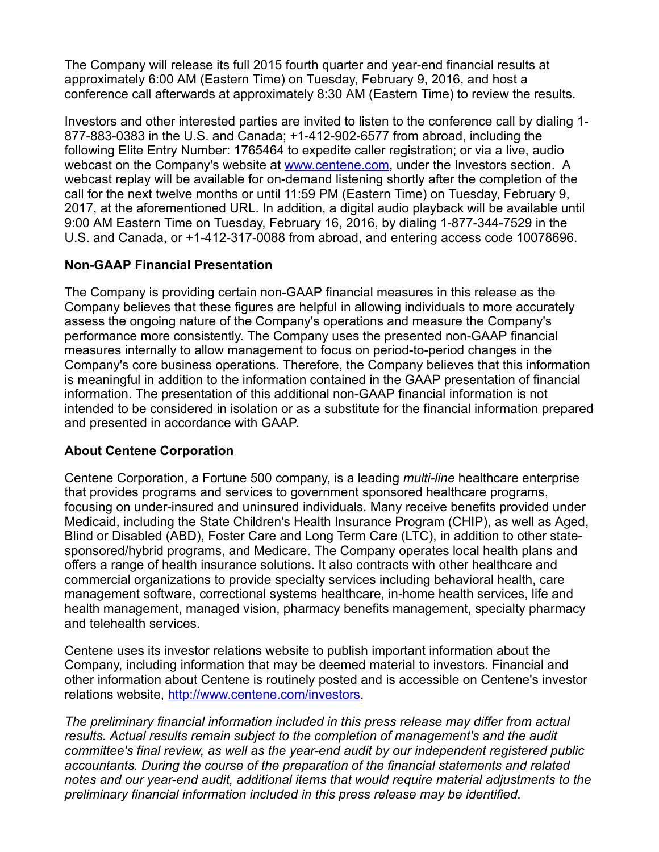The Company will release its full 2015 fourth quarter and year-end financial results at approximately 6:00 AM (Eastern Time) on Tuesday, February 9, 2016, and host a conference call afterwards at approximately 8:30 AM (Eastern Time) to review the results.

Investors and other interested parties are invited to listen to the conference call by dialing 1- 877-883-0383 in the U.S. and Canada; +1-412-902-6577 from abroad, including the following Elite Entry Number: 1765464 to expedite caller registration; or via a live, audio webcast on the Company's website at [www.centene.com,](http://www.centene.com/) under the Investors section. A webcast replay will be available for on-demand listening shortly after the completion of the call for the next twelve months or until 11:59 PM (Eastern Time) on Tuesday, February 9, 2017, at the aforementioned URL. In addition, a digital audio playback will be available until 9:00 AM Eastern Time on Tuesday, February 16, 2016, by dialing 1-877-344-7529 in the U.S. and Canada, or +1-412-317-0088 from abroad, and entering access code 10078696.

### **Non-GAAP Financial Presentation**

The Company is providing certain non-GAAP financial measures in this release as the Company believes that these figures are helpful in allowing individuals to more accurately assess the ongoing nature of the Company's operations and measure the Company's performance more consistently. The Company uses the presented non-GAAP financial measures internally to allow management to focus on period-to-period changes in the Company's core business operations. Therefore, the Company believes that this information is meaningful in addition to the information contained in the GAAP presentation of financial information. The presentation of this additional non-GAAP financial information is not intended to be considered in isolation or as a substitute for the financial information prepared and presented in accordance with GAAP.

#### **About Centene Corporation**

Centene Corporation, a Fortune 500 company, is a leading *multi-line* healthcare enterprise that provides programs and services to government sponsored healthcare programs, focusing on under-insured and uninsured individuals. Many receive benefits provided under Medicaid, including the State Children's Health Insurance Program (CHIP), as well as Aged, Blind or Disabled (ABD), Foster Care and Long Term Care (LTC), in addition to other statesponsored/hybrid programs, and Medicare. The Company operates local health plans and offers a range of health insurance solutions. It also contracts with other healthcare and commercial organizations to provide specialty services including behavioral health, care management software, correctional systems healthcare, in-home health services, life and health management, managed vision, pharmacy benefits management, specialty pharmacy and telehealth services.

Centene uses its investor relations website to publish important information about the Company, including information that may be deemed material to investors. Financial and other information about Centene is routinely posted and is accessible on Centene's investor relations website, <http://www.centene.com/investors>.

*The preliminary financial information included in this press release may differ from actual results. Actual results remain subject to the completion of management's and the audit committee's final review, as well as the year-end audit by our independent registered public accountants. During the course of the preparation of the financial statements and related notes and our year-end audit, additional items that would require material adjustments to the preliminary financial information included in this press release may be identified.*